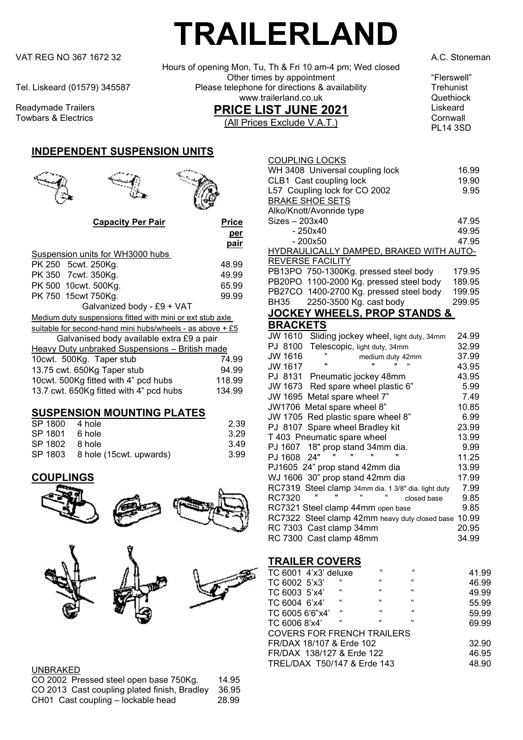VAT REG NO 367 1672 32 A.C. Stoneman A.C. Stoneman A.C. Stoneman A.C. Stoneman A.C. Stoneman

Readymade Trailers Towbars & Electrics

### INDEPENDENT SUSPENSION UNITS





per

#### Capacity Per Pair Price

|                                                             | pair   |
|-------------------------------------------------------------|--------|
| Suspension units for WH3000 hubs                            |        |
| PK 250 5cwt. 250Kg.                                         | 48.99  |
| PK 350 7 cwt. 350 Kg.                                       | 49.99  |
| PK 500 10cwt. 500Kg.                                        | 65.99  |
| PK 750 15 cwt 750 Kg.                                       | 99.99  |
| Galvanized body - £9 + VAT                                  |        |
| Medium duty suspensions fitted with mini or ext stub axle   |        |
| suitable for second-hand mini hubs/wheels - as above $+ £5$ |        |
| Galvanised body available extra £9 a pair                   |        |
| Heavy Duty unbraked Suspensions - British made              |        |
| 10cwt. 500Kg. Taper stub                                    | 74.99  |
| 13.75 cwt. 650Kg Taper stub                                 | 94.99  |
| 10 cwt. 500 Kg fitted with 4" pcd hubs                      | 118.99 |
| 13.7 cwt. 650Kg fitted with 4" pcd hubs                     | 134.99 |

#### SUSPENSION MOUNTING PLATES

| SP 1800 4 hole |                                  | 2.39 |
|----------------|----------------------------------|------|
| SP 1801 6 hole |                                  | 3.29 |
| SP 1802 8 hole |                                  | 3.49 |
|                | SP 1803 8 hole (15 cwt. upwards) | 3.99 |

#### **COUPLINGS**





#### UNBRAKED

| CO 2002 Pressed steel open base 750Kg.       | 14.95 |
|----------------------------------------------|-------|
| CO 2013 Cast coupling plated finish, Bradley | 36.95 |
| CH01 Cast coupling - lockable head           | 28.99 |

# TRAILERLAND

 Hours of opening Mon, Tu, Th & Fri 10 am-4 pm; Wed closed Other times by appointment<br>The telephone for directions & availability<br>Trehunist Tel. Liskeard (01579) 345587 Please telephone for directions & availability Trehunist<br>www.trailerland.co.uk Quethiock www.trailerland.co.uk PRICE LIST JUNE 2021 (All Prices Exclude V.A.T.)

Liskeard **Cornwall** PL14 3SD

| <b>COUPLING LOCKS</b><br>WH 3408 Universal coupling lock<br>CLB1 Cast coupling lock | 16.99<br>19.90 |
|-------------------------------------------------------------------------------------|----------------|
|                                                                                     |                |
| L57 Coupling lock for CO 2002                                                       | 9.95           |
| <b>BRAKE SHOE SETS</b>                                                              |                |
| Alko/Knott/Avonride type                                                            |                |
| $Sizes - 203x40$                                                                    | 47.95          |
| - 250x40                                                                            | 49.95          |
| $-200x50$                                                                           | 47.95          |
| HYDRAULICALLY DAMPED, BRAKED WITH AUTO-                                             |                |
| <b>REVERSE FACILITY</b>                                                             |                |
| PB13PO 750-1300Kg. pressed steel body                                               | 179.95         |
| PB20PO 1100-2000 Kg. pressed steel body                                             | 189.95         |
| PB27CO 1400-2700 Kg. pressed steel body                                             | 199.95         |
| 2250-3500 Kg. cast body<br>BH35                                                     | 299.95         |
| IOCKEV WHEELS DROD STANDS                                                           | o              |

#### JOCKEY WHEELS, PROP STANDS & **BRACKETS**

| JW 1610<br>Sliding jockey wheel, light duty, 34mm   | 24.99 |
|-----------------------------------------------------|-------|
| PJ 8100<br>Telescopic, light duty, 34mm             | 32.99 |
| JW 1616<br>medium duty 42mm                         | 37.99 |
| ££<br>JW 1617                                       | 43.95 |
| PJ 8131 Pneumatic jockey 48mm                       | 43.95 |
| JW 1673 Red spare wheel plastic 6"                  | 5.99  |
| JW 1695 Metal spare wheel 7"                        | 7.49  |
| JW1706 Metal spare wheel 8"                         | 10.85 |
| JW 1705 Red plastic spare wheel 8"                  | 6.99  |
| PJ 8107 Spare wheel Bradley kit                     | 23.99 |
| T 403 Pneumatic spare wheel                         | 13.99 |
| PJ 1607 18" prop stand 34mm dia.                    | 9.99  |
| "<br>PJ 1608 24"                                    | 11.25 |
| PJ1605 24" prop stand 42mm dia                      | 13.99 |
| WJ 1606 30" prop stand 42mm dia                     | 17.99 |
| RC7319 Steel clamp 34mm dia. 1 3/8" dia. light duty | 7.99  |
| 66<br>RC7320<br>"<br>"<br>closed base               | 9.85  |
| RC7321 Steel clamp 44mm open base                   | 9.85  |
| RC7322 Steel clamp 42mm heavy duty closed base      | 10.99 |
| RC 7303 Cast clamp 34mm                             | 20.95 |
| RC 7300 Cast clamp 48mm                             | 34.99 |

#### TRAILER COVERS

| TC 6001 4'x3' deluxe              |              | $\mathbf{f}$ | $\mathbf{f}$ | 41.99 |
|-----------------------------------|--------------|--------------|--------------|-------|
| TC 6002 5'x3'                     | "            | 66           | $\mathbf{G}$ | 46.99 |
| TC 6003 5'x4'                     | 66           | 66           | 66           | 49.99 |
| TC 6004 6'x4'                     | $\mathbf{G}$ | 66           | 66           | 55.99 |
| TC 6005 6'6"x4'                   | $\mathbf{f}$ | 66           | 66           | 59.99 |
| TC 6006 8'x4'                     | $\mathbf{G}$ | $\mathbf{f}$ | 66           | 69.99 |
| <b>COVERS FOR FRENCH TRAILERS</b> |              |              |              |       |
| FR/DAX 18/107 & Erde 102          |              |              |              | 32.90 |
| FR/DAX 138/127 & Erde 122         |              |              |              | 46.95 |
| TREL/DAX T50/147 & Erde 143       |              |              |              | 48.90 |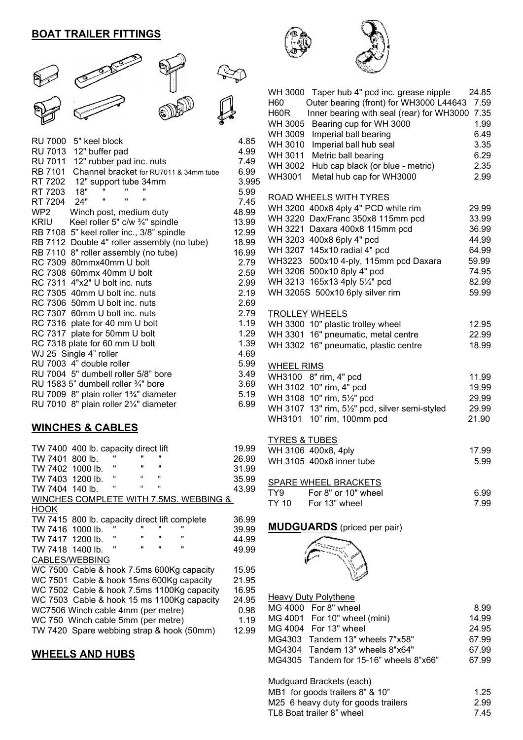# BOAT TRAILER FITTINGS



| <b>RU 7000</b><br>5" keel block                   | 4.85  |
|---------------------------------------------------|-------|
| <b>RU 7013</b><br>12" buffer pad                  | 4.99  |
| <b>RU 7011</b><br>12" rubber pad inc. nuts        | 7.49  |
| Channel bracket for RU7011 & 34mm tube<br>RB 7101 | 6.99  |
| RT 7202<br>12" support tube 34mm                  | 3.995 |
| "<br>$\blacksquare$<br>18"<br>RT 7203             | 5.99  |
| π<br>π<br>π<br>RT 7204<br>24"                     | 7.45  |
| WP2<br>Winch post, medium duty                    | 48.99 |
| Keel roller 5" c/w 3/4" spindle<br>KRIU           | 13.99 |
| RB 7108 5" keel roller inc., 3/8" spindle         | 12.99 |
| RB 7112 Double 4" roller assembly (no tube)       | 18.99 |
| RB 7110 8" roller assembly (no tube)              | 16.99 |
| RC 7309 80mmx40mm U bolt                          | 2.79  |
| RC 7308 60mmx 40mm U bolt                         | 2.59  |
| RC 7311 4"x2" U bolt inc. nuts                    | 2.99  |
| RC 7305 40mm U bolt inc. nuts                     | 2.19  |
| RC 7306 50mm U bolt inc. nuts                     | 2.69  |
| RC 7307 60mm U bolt inc. nuts                     | 2.79  |
| RC 7316 plate for 40 mm U bolt                    | 1.19  |
| RC 7317 plate for 50mm U bolt                     | 1.29  |
| RC 7318 plate for 60 mm U bolt                    | 1.39  |
| WJ 25 Single 4" roller                            | 4.69  |
| RU 7003 4" double roller                          | 5.99  |
| RU 7004 5" dumbell roller 5/8" bore               | 3.49  |
| RU 1583 5" dumbell roller $\frac{3}{4}$ " bore    | 3.69  |
| RU 7009 8" plain roller 13/4" diameter            | 5.19  |
| RU 7010 8" plain roller 21/4" diameter            | 6.99  |
|                                                   |       |

#### WINCHES & CABLES

|                  | TW 7400 400 lb. capacity direct lift          |              |                |                |                                        | 19.99 |
|------------------|-----------------------------------------------|--------------|----------------|----------------|----------------------------------------|-------|
| TW 7401          | $800$ lb.                                     |              |                |                |                                        | 26.99 |
| TW 7402 1000 lb. |                                               |              | $\blacksquare$ | $\blacksquare$ |                                        | 31.99 |
| TW 7403 1200 lb. |                                               | "            | "              | $\mathbf{f}$   |                                        | 35.99 |
| TW 7404 140 lb.  |                                               | $\mathbf{f}$ | $\mathbf{f}$   | $\mathbf{f}$   |                                        | 43.99 |
|                  |                                               |              |                |                | WINCHES COMPLETE WITH 7.5MS. WEBBING & |       |
| <b>HOOK</b>      |                                               |              |                |                |                                        |       |
|                  | TW 7415 800 lb. capacity direct lift complete |              |                |                |                                        | 36.99 |
| TW 7416 1000 lb. |                                               |              |                |                | "                                      | 39.99 |
| TW 7417 1200 lb. |                                               | "            |                |                | "                                      | 44.99 |
| TW 7418 1400 lb. |                                               |              |                | $\blacksquare$ |                                        | 49.99 |
|                  | CABLES/WEBBING                                |              |                |                |                                        |       |
|                  | WC 7500 Cable & hook 7.5ms 600Kg capacity     |              |                |                |                                        | 15.95 |
|                  | WC 7501 Cable & hook 15ms 600Kg capacity      |              |                |                |                                        | 21.95 |
|                  | WC 7502 Cable & hook 7.5ms 1100Kg capacity    |              |                |                |                                        | 16.95 |
|                  | WC 7503 Cable & hook 15 ms 1100Kg capacity    |              |                |                |                                        | 24.95 |
|                  | WC7506 Winch cable 4mm (per metre)            |              |                |                |                                        | 0.98  |
|                  | WC 750 Winch cable 5mm (per metre)            |              |                |                |                                        | 1.19  |
|                  | TW 7420 Spare webbing strap & hook (50mm)     |              |                |                |                                        | 12.99 |

# WHEELS AND HUBS





| WH 3000 Taper hub 4" pcd inc. grease nipple<br>Outer bearing (front) for WH3000 L44643<br>H <sub>60</sub><br>Inner bearing with seal (rear) for WH3000<br>H60R<br>Bearing cup for WH 3000<br>WH 3005<br>Imperial ball bearing<br>WH 3009<br>WH 3010<br>Imperial ball hub seal<br>Metric ball bearing<br>WH 3011<br>Hub cap black (or blue - metric)<br>WH 3002 | 24.85<br>7.59<br>7.35<br>1.99<br>6.49<br>3.35<br>6.29<br>2.35 |
|----------------------------------------------------------------------------------------------------------------------------------------------------------------------------------------------------------------------------------------------------------------------------------------------------------------------------------------------------------------|---------------------------------------------------------------|
| Metal hub cap for WH3000<br>WH3001                                                                                                                                                                                                                                                                                                                             | 2.99                                                          |
| ROAD WHEELS WITH TYRES<br>WH 3200 400x8 4ply 4" PCD white rim                                                                                                                                                                                                                                                                                                  | 29.99                                                         |
| WH 3220 Dax/Franc 350x8 115mm pcd                                                                                                                                                                                                                                                                                                                              | 33.99                                                         |
| WH 3221 Daxara 400x8 115mm pcd<br>WH 3203 400x8 6ply 4" pcd                                                                                                                                                                                                                                                                                                    | 36.99<br>44.99                                                |
| WH 3207 145x10 radial 4" pcd                                                                                                                                                                                                                                                                                                                                   | 64.99                                                         |
| WH3223 500x10 4-ply, 115mm pcd Daxara                                                                                                                                                                                                                                                                                                                          | 59.99                                                         |
| WH 3206 500x10 8ply 4" pcd                                                                                                                                                                                                                                                                                                                                     | 74.95                                                         |
| WH 3213 165x13 4ply 51/2" pcd                                                                                                                                                                                                                                                                                                                                  | 82.99                                                         |
| WH 3205S 500x10 6ply silver rim                                                                                                                                                                                                                                                                                                                                | 59.99                                                         |
|                                                                                                                                                                                                                                                                                                                                                                |                                                               |
| <b>TROLLEY WHEELS</b><br>WH 3300 10" plastic trolley wheel                                                                                                                                                                                                                                                                                                     | 12.95                                                         |
| WH 3301 16" pneumatic, metal centre                                                                                                                                                                                                                                                                                                                            | 22.99                                                         |
| WH 3302 16" pneumatic, plastic centre                                                                                                                                                                                                                                                                                                                          | 18.99                                                         |
|                                                                                                                                                                                                                                                                                                                                                                |                                                               |
| <b>WHEEL RIMS</b>                                                                                                                                                                                                                                                                                                                                              |                                                               |
| WH3100 8" rim, 4" pcd<br>WH 3102 10" rim, 4" pcd                                                                                                                                                                                                                                                                                                               | 11.99<br>19.99                                                |
| WH 3108 10" rim, 51/2" pcd                                                                                                                                                                                                                                                                                                                                     | 29.99                                                         |
| WH 3107 13" rim, 51/2" pcd, silver semi-styled                                                                                                                                                                                                                                                                                                                 | 29.99                                                         |
| 10" rim, 100mm pcd<br>WH3101                                                                                                                                                                                                                                                                                                                                   | 21.90                                                         |
|                                                                                                                                                                                                                                                                                                                                                                |                                                               |
| <b>TYRES &amp; TUBES</b>                                                                                                                                                                                                                                                                                                                                       |                                                               |
| WH 3106 400x8, 4ply                                                                                                                                                                                                                                                                                                                                            | 17.99                                                         |
| WH 3105 400x8 inner tube                                                                                                                                                                                                                                                                                                                                       | 5.99                                                          |
| COADE WULLEL DOAOKETS                                                                                                                                                                                                                                                                                                                                          |                                                               |

|       | <b>SPARE WHEEL BRACKETS</b> |      |
|-------|-----------------------------|------|
| TY9   | For 8" or 10" wheel         | G 99 |
| TY 10 | For 13" wheel               | 7.99 |

# MUDGUARDS (priced per pair)



| Heavy Duty Polythene                   |       |
|----------------------------------------|-------|
| MG 4000 For 8" wheel                   | 8.99  |
| MG 4001 For 10" wheel (mini)           | 14.99 |
| MG 4004 For 13" wheel                  | 24.95 |
| MG4303 Tandem 13" wheels 7"x58"        | 67.99 |
| MG4304 Tandem 13" wheels 8"x64"        | 67.99 |
| MG4305 Tandem for 15-16" wheels 8"x66" | 67.99 |
|                                        |       |

Mudguard Brackets (each)

| 1.25                                                                                                |
|-----------------------------------------------------------------------------------------------------|
| 2.99                                                                                                |
| 7.45                                                                                                |
| MB1 for goods trailers 8" & 10"<br>M25 6 heavy duty for goods trailers<br>TL8 Boat trailer 8" wheel |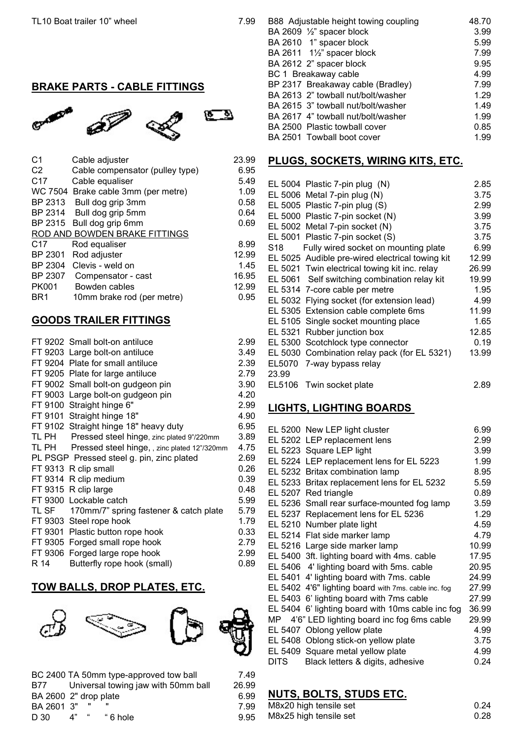### BRAKE PARTS - CABLE FITTINGS



| C <sub>2</sub><br>Cable compensator (pulley type)<br>6.95<br>C <sub>17</sub><br>Cable equaliser<br>5.49<br>WC 7504 Brake cable 3mm (per metre)<br>1.09<br>BP 2313<br>0.58<br>Bull dog grip 3mm<br>BP 2314<br>0.64<br>Bull dog grip 5mm<br>BP 2315<br>Bull dog grip 6mm<br>0.69<br>ROD AND BOWDEN BRAKE FITTINGS<br>C <sub>17</sub><br>Rod equaliser<br>8.99<br>BP 2301<br>Rod adjuster<br>12.99<br>BP 2304<br>Clevis - weld on<br>1.45<br>BP 2307<br>16.95<br>Compensator - cast<br>PK001<br>12.99<br>Bowden cables<br>BR1<br>0.95 | C1 | Cable adjuster             | 23.99 |
|------------------------------------------------------------------------------------------------------------------------------------------------------------------------------------------------------------------------------------------------------------------------------------------------------------------------------------------------------------------------------------------------------------------------------------------------------------------------------------------------------------------------------------|----|----------------------------|-------|
|                                                                                                                                                                                                                                                                                                                                                                                                                                                                                                                                    |    |                            |       |
|                                                                                                                                                                                                                                                                                                                                                                                                                                                                                                                                    |    |                            |       |
|                                                                                                                                                                                                                                                                                                                                                                                                                                                                                                                                    |    |                            |       |
|                                                                                                                                                                                                                                                                                                                                                                                                                                                                                                                                    |    |                            |       |
|                                                                                                                                                                                                                                                                                                                                                                                                                                                                                                                                    |    |                            |       |
|                                                                                                                                                                                                                                                                                                                                                                                                                                                                                                                                    |    |                            |       |
|                                                                                                                                                                                                                                                                                                                                                                                                                                                                                                                                    |    |                            |       |
|                                                                                                                                                                                                                                                                                                                                                                                                                                                                                                                                    |    |                            |       |
|                                                                                                                                                                                                                                                                                                                                                                                                                                                                                                                                    |    |                            |       |
|                                                                                                                                                                                                                                                                                                                                                                                                                                                                                                                                    |    |                            |       |
|                                                                                                                                                                                                                                                                                                                                                                                                                                                                                                                                    |    |                            |       |
|                                                                                                                                                                                                                                                                                                                                                                                                                                                                                                                                    |    |                            |       |
|                                                                                                                                                                                                                                                                                                                                                                                                                                                                                                                                    |    | 10mm brake rod (per metre) |       |

#### GOODS TRAILER FITTINGS

| FT 9202 Small bolt-on antiluce                     | 2.99 |
|----------------------------------------------------|------|
| FT 9203 Large bolt-on antiluce                     | 3.49 |
| FT 9204 Plate for small antiluce                   | 2.39 |
| FT 9205 Plate for large antiluce                   | 2.79 |
| FT 9002 Small bolt-on gudgeon pin                  | 3.90 |
| FT 9003 Large bolt-on gudgeon pin                  | 4.20 |
| FT 9100 Straight hinge 6"                          | 2.99 |
| FT 9101 Straight hinge 18"                         | 4.90 |
| FT 9102 Straight hinge 18" heavy duty              | 6.95 |
| TL PH Pressed steel hinge, zinc plated 9"/220mm    | 3.89 |
| TL PH Pressed steel hinge, , zinc plated 12"/320mm | 4.75 |
| PL PSGP Pressed steel g. pin, zinc plated          | 2.69 |
| FT 9313 R clip small                               | 0.26 |
| FT 9314 R clip medium                              | 0.39 |
| FT 9315 R clip large                               | 0.48 |
| FT 9300 Lockable catch                             | 5.99 |
| TL SF 170mm/7" spring fastener & catch plate       | 5.79 |
| FT 9303 Steel rope hook                            | 1.79 |
| FT 9301 Plastic button rope hook                   | 0.33 |
| FT 9305 Forged small rope hook                     | 2.79 |
| FT 9306 Forged large rope hook                     | 2.99 |
|                                                    |      |

R 14 Butterfly rope hook (small) 0.89

### TOW BALLS, DROP PLATES, ETC.



|                       |    |      | BC 2400 TA 50mm type-approved tow ball | 7.49  |
|-----------------------|----|------|----------------------------------------|-------|
| B77 -                 |    |      | Universal towing jaw with 50mm ball    | 26.99 |
| BA 2600 2" drop plate |    |      |                                        | 6.99  |
| BA 2601 3"            |    | - 11 |                                        | 7.99  |
| D 30.                 | 4" |      | " 6 hole                               | 9.95  |
|                       |    |      |                                        |       |

|  | B88 Adjustable height towing coupling | 48.70 |
|--|---------------------------------------|-------|
|  | BA 2609 $\frac{1}{2}$ " spacer block  | 3.99  |
|  | BA 2610 1" spacer block               | 5.99  |
|  | BA 2611 11/2" spacer block            | 7.99  |
|  | BA 2612 2" spacer block               | 9.95  |
|  | BC 1 Breakaway cable                  | 4.99  |
|  | BP 2317 Breakaway cable (Bradley)     | 7.99  |
|  | BA 2613 2" towball nut/bolt/washer    | 1.29  |
|  | BA 2615 3" towball nut/bolt/washer    | 1.49  |
|  | BA 2617 4" towball nut/bolt/washer    | 1.99  |
|  | BA 2500 Plastic towball cover         | 0.85  |
|  | BA 2501 Towball boot cover            | 1.99  |

#### PLUGS, SOCKETS, WIRING KITS, ETC.

|       | EL 5004 Plastic 7-pin plug (N)                  | 2.85  |
|-------|-------------------------------------------------|-------|
|       | EL 5006 Metal 7-pin plug (N)                    | 3.75  |
|       | EL 5005 Plastic 7-pin plug (S)                  | 2.99  |
|       | EL 5000 Plastic 7-pin socket (N)                | 3.99  |
|       | EL 5002 Metal 7-pin socket (N)                  | 3.75  |
|       | EL 5001 Plastic 7-pin socket (S)                | 3.75  |
| S18 - | Fully wired socket on mounting plate            | 6.99  |
|       | EL 5025 Audible pre-wired electrical towing kit | 12.99 |
|       | EL 5021 Twin electrical towing kit inc. relay   | 26.99 |
|       | EL 5061 Self switching combination relay kit    | 19.99 |
|       | EL 5314 7-core cable per metre                  | 1.95  |
|       | EL 5032 Flying socket (for extension lead)      | 4.99  |
|       | EL 5305 Extension cable complete 6ms            | 11.99 |
|       | EL 5105 Single socket mounting place            | 1.65  |
|       | EL 5321 Rubber junction box                     | 12.85 |
|       | EL 5300 Scotchlock type connector               | 0.19  |
|       | EL 5030 Combination relay pack (for EL 5321)    | 13.99 |
|       | EL5070 7-way bypass relay                       |       |
| 23.99 |                                                 |       |
|       | EL5106 Twin socket plate                        | 2.89  |

#### LIGHTS, LIGHTING BOARDS

|             | EL 5200 New LEP light cluster                        | 6.99  |
|-------------|------------------------------------------------------|-------|
|             | EL 5202 LEP replacement lens                         | 2.99  |
|             | EL 5223 Square LEP light                             | 3.99  |
|             | EL 5224 LEP replacement lens for EL 5223             | 1.99  |
|             | EL 5232 Britax combination lamp                      | 8.95  |
|             | EL 5233 Britax replacement lens for EL 5232          | 5.59  |
|             | EL 5207 Red triangle                                 | 0.89  |
|             | EL 5236 Small rear surface-mounted fog lamp          | 3.59  |
|             | EL 5237 Replacement lens for EL 5236                 | 1.29  |
|             | EL 5210 Number plate light                           | 4.59  |
|             | EL 5214 Flat side marker lamp                        | 4.79  |
|             | EL 5216 Large side marker lamp                       | 10.99 |
|             | EL 5400 3ft. lighting board with 4ms. cable          | 17.95 |
|             | EL 5406 4' lighting board with 5ms. cable            | 20.95 |
|             | EL 5401 4' lighting board with 7ms. cable            | 24.99 |
|             | EL 5402 4'6" lighting board with 7ms. cable inc. fog | 27.99 |
|             | EL 5403 6' lighting board with 7ms cable             | 27.99 |
|             | EL 5404 6' lighting board with 10ms cable inc fog    | 36.99 |
|             | MP 4'6" LED lighting board inc fog 6ms cable         | 29.99 |
|             | EL 5407 Oblong yellow plate                          | 4.99  |
|             | EL 5408 Oblong stick-on yellow plate                 | 3.75  |
|             | EL 5409 Square metal yellow plate                    | 4.99  |
| <b>DITS</b> | Black letters & digits, adhesive                     | 0.24  |
|             |                                                      |       |

## NUTS, BOLTS, STUDS ETC.

| M8x20 high tensile set |  |  |  | 0.24 |
|------------------------|--|--|--|------|
| M8x25 high tensile set |  |  |  | 0.28 |